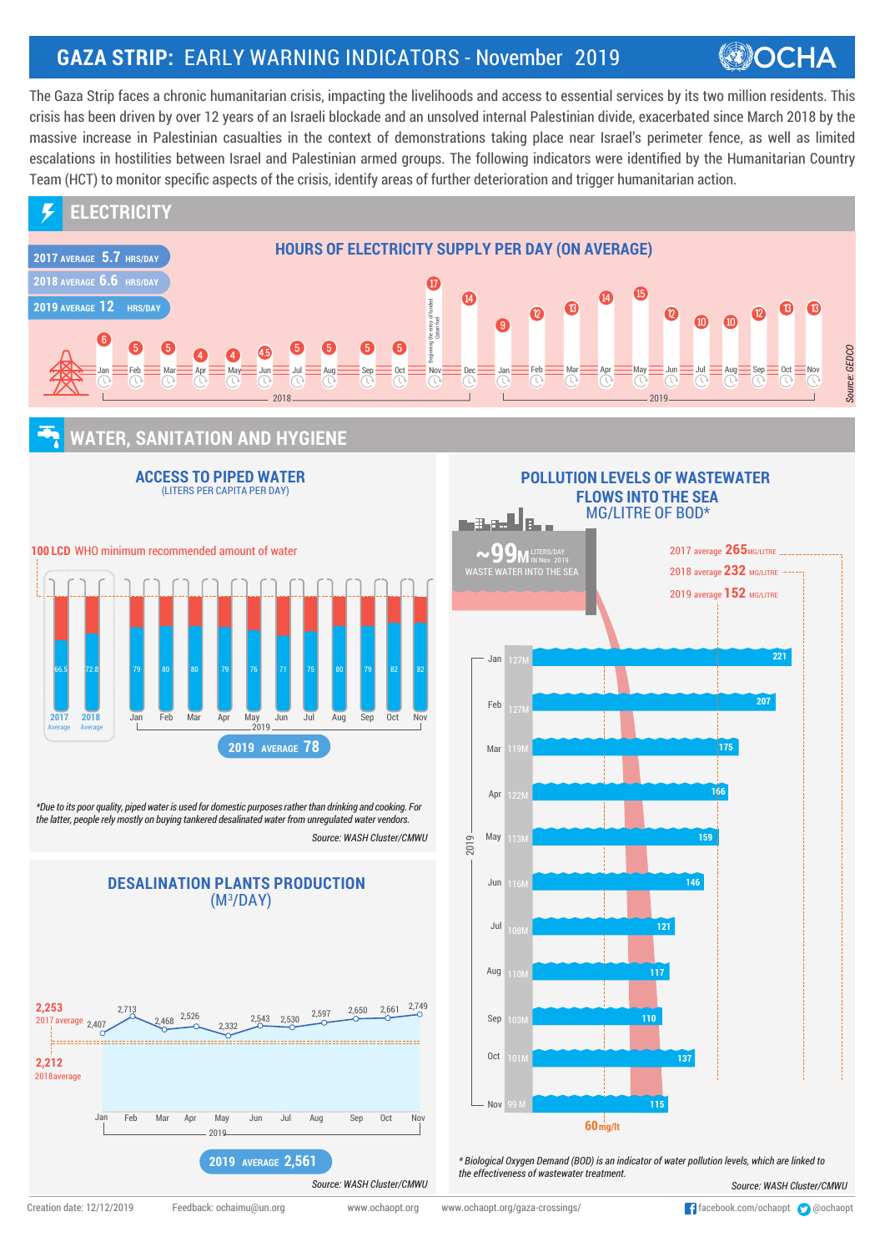## **GAZA STRIP:** EARLY WARNING INDICATORS - November 2019

## **OCHA**

The Gaza Strip faces a chronic humanitarian crisis, impacting the livelihoods and access to essential services by its two million residents. This crisis has been driven by over 12 years of an Israeli blockade and an unsolved internal Palestinian divide, exacerbated since March 2018 by the massive increase in Palestinian casualties in the context of demonstrations taking place near Israel's perimeter fence, as well as limited escalations in hostilities between Israel and Palestinian armed groups. The following indicators were identified by the Humanitarian Country Team (HCT) to monitor specific aspects of the crisis, identify areas of further deterioration and trigger humanitarian action.



## **WATER, SANITATION AND HYGIENE**